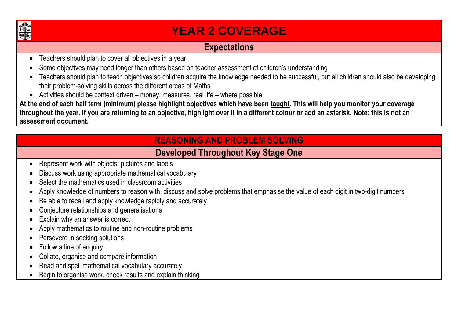

## **YEAR 2 COVERAGE**

## **Expectations**

- Teachers should plan to cover all objectives in a year
- Some objectives may need longer than others based on teacher assessment of children's understanding
- Teachers should plan to teach objectives so children acquire the knowledge needed to be successful, but all children should also be developing their problem-solving skills across the different areas of Maths
- Activities should be context driven money, measures, real life where possible

**At the end of each half term (minimum) please highlight objectives which have been taught. This will help you monitor your coverage throughout the year. If you are returning to an objective, highlight over it in a different colour or add an asterisk. Note: this is not an assessment document.**

## **REASONING AND PROBLEM SOLVING**

## **Developed Throughout Key Stage One**

- Represent work with objects, pictures and labels
- Discuss work using appropriate mathematical vocabulary
- Select the mathematics used in classroom activities
- Apply knowledge of numbers to reason with, discuss and solve problems that emphasise the value of each digit in two-digit numbers
- Be able to recall and apply knowledge rapidly and accurately
- Conjecture relationships and generalisations
- Explain why an answer is correct
- Apply mathematics to routine and non-routine problems
- Persevere in seeking solutions
- Follow a line of enquiry
- Collate, organise and compare information
- Read and spell mathematical vocabulary accurately
- Begin to organise work, check results and explain thinking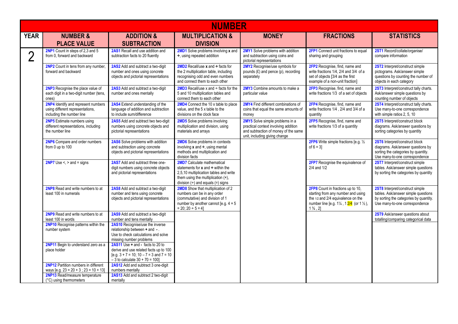|                | <b>NUMBER</b>                                                                                                                                           |                                                                                                                                                                   |                                                                                                                                                                                                  |                                                                                                                                                  |                                                                                                                                                                                                                 |                                                                                                                                                    |  |  |  |  |
|----------------|---------------------------------------------------------------------------------------------------------------------------------------------------------|-------------------------------------------------------------------------------------------------------------------------------------------------------------------|--------------------------------------------------------------------------------------------------------------------------------------------------------------------------------------------------|--------------------------------------------------------------------------------------------------------------------------------------------------|-----------------------------------------------------------------------------------------------------------------------------------------------------------------------------------------------------------------|----------------------------------------------------------------------------------------------------------------------------------------------------|--|--|--|--|
| <b>YEAR</b>    | <b>NUMBER &amp;</b><br><b>PLACE VALUE</b>                                                                                                               | <b>ADDITION &amp;</b><br><b>SUBTRACTION</b>                                                                                                                       | <b>MULTIPLICATION &amp;</b><br><b>DIVISION</b>                                                                                                                                                   | <b>MONEY</b>                                                                                                                                     | <b>FRACTIONS</b>                                                                                                                                                                                                | <b>STATISTICS</b>                                                                                                                                  |  |  |  |  |
| $\overline{2}$ | 2NP1 Count in steps of 2,3 and 5<br>from 0, forward and backward                                                                                        | 2AS1 Recall and use addition and<br>subtraction facts to 20 fluently                                                                                              | 2MD1 Solve problems involving x and<br>$\div$ , using repeated addition                                                                                                                          | 2MY1 Solve problems with addition<br>and subtraction using coins and<br>pictorial representations                                                | 2FP1 Connect unit fractions to equal<br>sharing and grouping                                                                                                                                                    | 2ST1 Record/collate/organise/<br>compare information                                                                                               |  |  |  |  |
|                | 2NP2 Count in tens from any number,<br>forward and backward                                                                                             | 2AS2 Add and subtract a two-digit<br>number and ones using concrete<br>objects and pictorial representations                                                      | <b>2MD2</b> Recall/use $x$ and $\div$ facts for<br>the 2 multiplication table, including<br>recognising odd and even numbers<br>and connect them to each other                                   | 2MY2 Recognise/use symbols for<br>pounds $(E)$ and pence $(p)$ , recording<br>separately                                                         | 2FP2 Recognise, find, name and<br>write fractions 1/4, 2/4 and 3/4 of a<br>set of objects [3/4 as the first<br>example of a non-unit fraction]                                                                  | 2ST2 Interpret/construct simple<br>pictograms. Ask/answer simple<br>questions by counting the number of<br>objects in each category                |  |  |  |  |
|                | 2NP3 Recognise the place value of<br>each digit in a two-digit number (tens,<br>ones)                                                                   | 2AS3 Add and subtract a two-digit<br>number and ones mentally                                                                                                     | <b>2MD3</b> Recall/use x and $\div$ facts for the<br>5 and 10 multiplication tables and<br>connect them to each other                                                                            | 2MY3 Combine amounts to make a<br>particular value                                                                                               | 2FP3 Recognise, find, name and<br>write fractions 1/3 of a set of objects                                                                                                                                       | 2ST3 Interpret/construct tally charts.<br>Ask/answer simple questions by<br>counting number of objects                                             |  |  |  |  |
|                | 2NP4 Identify and represent numbers<br>using different representations,<br>including the number line                                                    | 2AS4 Extend understanding of the<br>language of addition and subtraction<br>to include sum/difference                                                             | 2MD4 Connect the 10 x table to place<br>value, and the 5 x table to the<br>divisions on the clock face                                                                                           | 2MY4 Find different combinations of<br>coins that equal the same amounts of<br>money                                                             | 2FP4 Recognise, find, name and<br>write fractions 1/4, 2/4 and 3/4 of a<br>quantity                                                                                                                             | 2ST4 Interpret/construct tally charts.<br>Use many-to-one correspondence<br>with simple ratios 2, 5, 10                                            |  |  |  |  |
|                | <b>2NP5</b> Estimate numbers using<br>different representations, including<br>the number line                                                           | 2AS5 Add and subtract two two-digit<br>numbers using concrete objects and<br>pictorial representations                                                            | <b>2MD5</b> Solve problems involving<br>multiplication and division, using<br>materials and arrays                                                                                               | 2MY5 Solve simple problems in a<br>practical context involving addition<br>and subtraction of money of the same<br>unit, including giving change | 2FP5 Recognise, find, name and<br>write fractions 1/3 of a quantity                                                                                                                                             | 2ST5 Interpret/construct block<br>diagrams. Ask/answer questions by<br>sorting categories by quantity                                              |  |  |  |  |
|                | 2NP6 Compare and order numbers<br>from 0 up to 100                                                                                                      | 2AS6 Solve problems with addition<br>and subtraction using concrete<br>objects and pictorial representations                                                      | 2MD6 Solve problems in contexts<br>involving $x$ and $\div$ , using mental<br>methods and multiplication and<br>division facts                                                                   |                                                                                                                                                  | 2FP6 Write simple fractions [e.g. 1/2]<br>of $6 = 3$ ]                                                                                                                                                          | 2ST6 Interpret/construct block<br>diagrams. Ask/answer questions by<br>sorting the categories by quantity.<br>Use many-to-one correspondence       |  |  |  |  |
|                | <b>2NP7</b> Use $\leq$ , $>$ and $=$ signs                                                                                                              | 2AS7 Add and subtract three one-<br>digit numbers using concrete objects<br>and pictorial representations                                                         | 2MD7 Calculate mathematical<br>statements for $x$ and $\div$ within the<br>2,5,10 multiplication tables and write<br>them using the multiplication (x),<br>division $(+)$ and equals $(=)$ signs |                                                                                                                                                  | 2FP7 Recognise the equivalence of<br>$2/4$ and $1/2$                                                                                                                                                            | 2ST7 Interpret/construct simple<br>tables. Ask/answer simple questions<br>by sorting the categories by quantity                                    |  |  |  |  |
|                | <b>2NP8</b> Read and write numbers to at<br>least 100 in numerals                                                                                       | 2AS8 Add and subtract a two-digit<br>number and tens using concrete<br>objects and pictorial representations                                                      | 2MD8 Show that multiplication of 2<br>numbers can be in any order<br>(commutative) and division of 1<br>number by another cannot [e.g. $4 \times 5$<br>$= 20$ ; $20 \div 5 = 4$ ]                |                                                                                                                                                  | 2FP8 Count in fractions up to 10,<br>starting from any number and using<br>the 1/2 and 2/4 equivalence on the<br>number line [e.g. $1\frac{1}{4}$ , $1\frac{2}{4}$ (or $1\frac{1}{2}$ ),<br>$1\frac{3}{4}$ , 2] | 2ST8 Interpret/construct simple<br>tables. Ask/answer simple questions<br>by sorting the categories by quantity.<br>Use many-to-one correspondence |  |  |  |  |
|                | 2NP9 Read and write numbers to at<br>least 100 in words                                                                                                 | 2AS9 Add and subtract a two-digit<br>number and tens mentally                                                                                                     |                                                                                                                                                                                                  |                                                                                                                                                  |                                                                                                                                                                                                                 | 2ST9 Ask/answer questions about<br>totalling/comparing categorical data                                                                            |  |  |  |  |
|                | 2NP10 Recognise patterns within the<br>number system                                                                                                    | 2AS10 Recognise/use the inverse<br>relationship between + and -<br>Use to check calculations and solve<br>missing number problems                                 |                                                                                                                                                                                                  |                                                                                                                                                  |                                                                                                                                                                                                                 |                                                                                                                                                    |  |  |  |  |
|                | 2NP11 Begin to understand zero as a<br>place holder                                                                                                     | 2AS11 Use + and - facts to 20 to<br>derive and use related facts up to 100<br>[e.g. $3 + 7 = 10$ ; $10 - 7 = 3$ and $7 = 10$<br>$-3$ to calculate $30 + 70 = 100$ |                                                                                                                                                                                                  |                                                                                                                                                  |                                                                                                                                                                                                                 |                                                                                                                                                    |  |  |  |  |
|                | <b>2NP12</b> Partition numbers in different<br>ways [e.g. $23 = 20 + 3$ ; $23 = 10 + 13$ ]<br>2NP13 Read/measure temperature<br>(°C) using thermometers | 2AS12 Add and subtract 3 one-digit<br>numbers mentally<br>2AS13 Add and subtract 2 two-digit<br>mentally                                                          |                                                                                                                                                                                                  |                                                                                                                                                  |                                                                                                                                                                                                                 |                                                                                                                                                    |  |  |  |  |